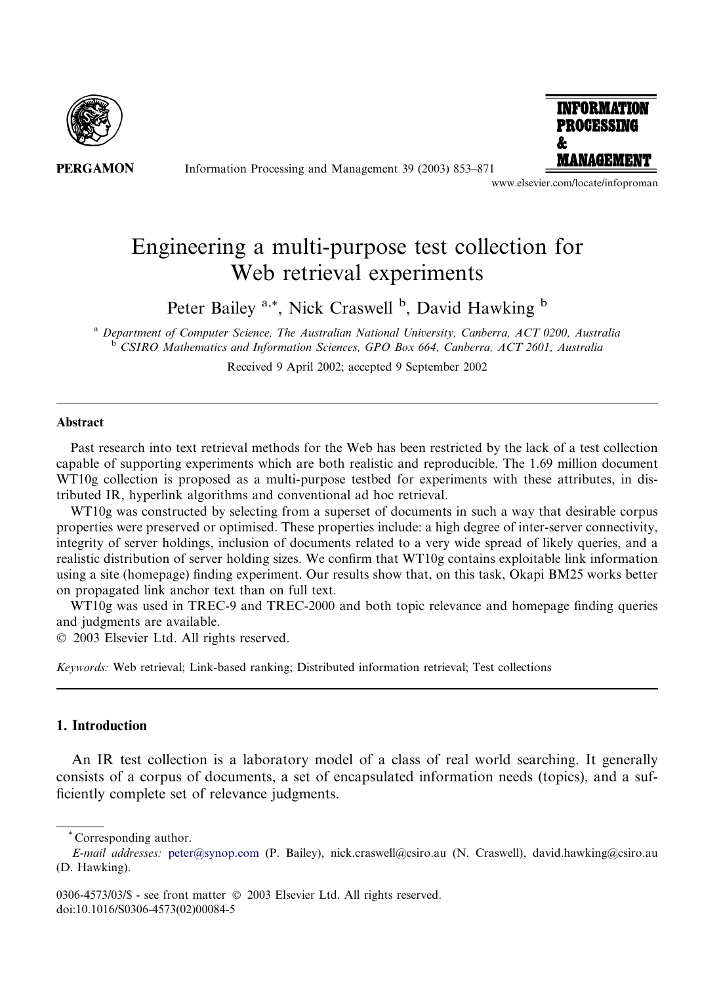

**PERGAMON** 

Information Processing and Management 39 (2003) 853–871



www.elsevier.com/locate/infoproman

# Engineering a multi-purpose test collection for Web retrieval experiments

Peter Bailey <sup>a,\*</sup>, Nick Craswell <sup>b</sup>, David Hawking <sup>b</sup>

<sup>a</sup> Department of Computer Science, The Australian National University, Canberra, ACT 0200, Australia <sup>b</sup> CSIRO Mathematics and Information Sciences, GPO Box 664, Canberra, ACT 2601, Australia

Received 9 April 2002; accepted 9 September 2002

#### Abstract

Past research into text retrieval methods for the Web has been restricted by the lack of a test collection capable of supporting experiments which are both realistic and reproducible. The 1.69 million document WT10g collection is proposed as a multi-purpose testbed for experiments with these attributes, in distributed IR, hyperlink algorithms and conventional ad hoc retrieval.

WT10g was constructed by selecting from a superset of documents in such a way that desirable corpus properties were preserved or optimised. These properties include: a high degree of inter-server connectivity, integrity of server holdings, inclusion of documents related to a very wide spread of likely queries, and a realistic distribution of server holding sizes. We confirm that WT10g contains exploitable link information using a site (homepage) finding experiment. Our results show that, on this task, Okapi BM25 works better on propagated link anchor text than on full text.

WT10g was used in TREC-9 and TREC-2000 and both topic relevance and homepage finding queries and judgments are available.

2003 Elsevier Ltd. All rights reserved.

Keywords: Web retrieval; Link-based ranking; Distributed information retrieval; Test collections

## 1. Introduction

An IR test collection is a laboratory model of a class of real world searching. It generally consists of a corpus of documents, a set of encapsulated information needs (topics), and a sufficiently complete set of relevance judgments.

\* Corresponding author.

E-mail addresses: [peter@synop.com](mail to: peter@synop.com) (P. Bailey), nick.craswell@csiro.au (N. Craswell), david.hawking@csiro.au (D. Hawking).

<sup>0306-4573/03/\$ -</sup> see front matter © 2003 Elsevier Ltd. All rights reserved. doi:10.1016/S0306-4573(02)00084-5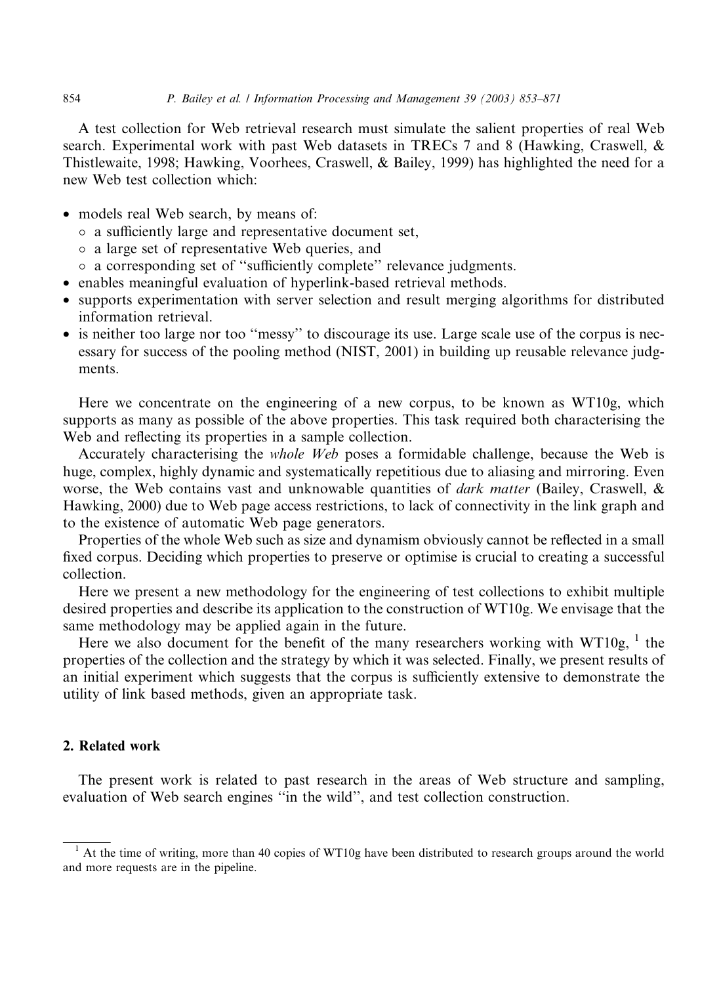A test collection for Web retrieval research must simulate the salient properties of real Web search. Experimental work with past Web datasets in TRECs 7 and 8 (Hawking, Craswell, & Thistlewaite, 1998; Hawking, Voorhees, Craswell, & Bailey, 1999) has highlighted the need for a new Web test collection which:

- models real Web search, by means of:
	- a sufficiently large and representative document set,
	- a large set of representative Web queries, and
	- a corresponding set of ''sufficiently complete'' relevance judgments.
- enables meaningful evaluation of hyperlink-based retrieval methods.
- supports experimentation with server selection and result merging algorithms for distributed information retrieval.
- is neither too large nor too "messy" to discourage its use. Large scale use of the corpus is necessary for success of the pooling method (NIST, 2001) in building up reusable relevance judgments.

Here we concentrate on the engineering of a new corpus, to be known as WT10g, which supports as many as possible of the above properties. This task required both characterising the Web and reflecting its properties in a sample collection.

Accurately characterising the whole Web poses a formidable challenge, because the Web is huge, complex, highly dynamic and systematically repetitious due to aliasing and mirroring. Even worse, the Web contains vast and unknowable quantities of *dark matter* (Bailey, Craswell, & Hawking, 2000) due to Web page access restrictions, to lack of connectivity in the link graph and to the existence of automatic Web page generators.

Properties of the whole Web such as size and dynamism obviously cannot be reflected in a small fixed corpus. Deciding which properties to preserve or optimise is crucial to creating a successful collection.

Here we present a new methodology for the engineering of test collections to exhibit multiple desired properties and describe its application to the construction of WT10g. We envisage that the same methodology may be applied again in the future.

Here we also document for the benefit of the many researchers working with  $WT10g$ ,  $^1$  the properties of the collection and the strategy by which it was selected. Finally, we present results of an initial experiment which suggests that the corpus is sufficiently extensive to demonstrate the utility of link based methods, given an appropriate task.

## 2. Related work

The present work is related to past research in the areas of Web structure and sampling, evaluation of Web search engines ''in the wild'', and test collection construction.

 $<sup>1</sup>$  At the time of writing, more than 40 copies of WT10g have been distributed to research groups around the world</sup> and more requests are in the pipeline.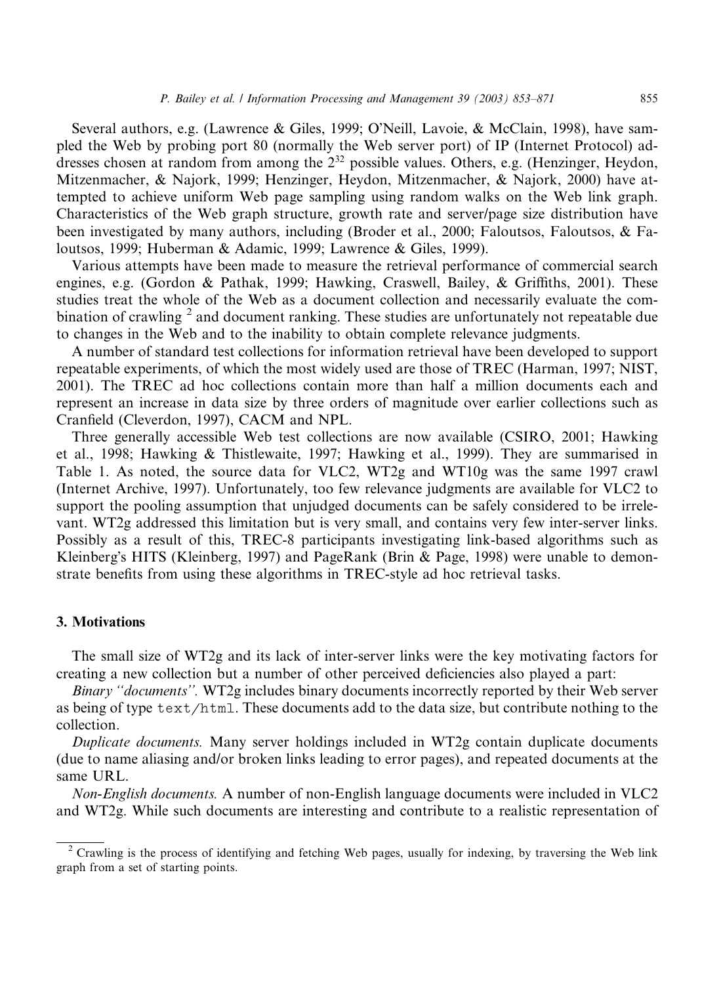Several authors, e.g. (Lawrence & Giles, 1999; O'Neill, Lavoie, & McClain, 1998), have sampled the Web by probing port 80 (normally the Web server port) of IP (Internet Protocol) addresses chosen at random from among the  $2^{32}$  possible values. Others, e.g. (Henzinger, Heydon, Mitzenmacher, & Najork, 1999; Henzinger, Heydon, Mitzenmacher, & Najork, 2000) have attempted to achieve uniform Web page sampling using random walks on the Web link graph. Characteristics of the Web graph structure, growth rate and server/page size distribution have been investigated by many authors, including (Broder et al., 2000; Faloutsos, Faloutsos, & Faloutsos, 1999; Huberman & Adamic, 1999; Lawrence & Giles, 1999).

Various attempts have been made to measure the retrieval performance of commercial search engines, e.g. (Gordon & Pathak, 1999; Hawking, Craswell, Bailey, & Griffiths, 2001). These studies treat the whole of the Web as a document collection and necessarily evaluate the combination of crawling <sup>2</sup> and document ranking. These studies are unfortunately not repeatable due to changes in the Web and to the inability to obtain complete relevance judgments.

A number of standard test collections for information retrieval have been developed to support repeatable experiments, of which the most widely used are those of TREC (Harman, 1997; NIST, 2001). The TREC ad hoc collections contain more than half a million documents each and represent an increase in data size by three orders of magnitude over earlier collections such as Cranfield (Cleverdon, 1997), CACM and NPL.

Three generally accessible Web test collections are now available (CSIRO, 2001; Hawking et al., 1998; Hawking & Thistlewaite, 1997; Hawking et al., 1999). They are summarised in Table 1. As noted, the source data for VLC2, WT2g and WT10g was the same 1997 crawl (Internet Archive, 1997). Unfortunately, too few relevance judgments are available for VLC2 to support the pooling assumption that unjudged documents can be safely considered to be irrelevant. WT2g addressed this limitation but is very small, and contains very few inter-server links. Possibly as a result of this, TREC-8 participants investigating link-based algorithms such as Kleinberg's HITS (Kleinberg, 1997) and PageRank (Brin & Page, 1998) were unable to demonstrate benefits from using these algorithms in TREC-style ad hoc retrieval tasks.

## 3. Motivations

The small size of WT2g and its lack of inter-server links were the key motivating factors for creating a new collection but a number of other perceived deficiencies also played a part:

Binary ''documents''. WT2g includes binary documents incorrectly reported by their Web server as being of type text/html. These documents add to the data size, but contribute nothing to the collection.

Duplicate documents. Many server holdings included in WT2g contain duplicate documents (due to name aliasing and/or broken links leading to error pages), and repeated documents at the same URL.

Non-English documents. A number of non-English language documents were included in VLC2 and WT2g. While such documents are interesting and contribute to a realistic representation of

<sup>&</sup>lt;sup>2</sup> Crawling is the process of identifying and fetching Web pages, usually for indexing, by traversing the Web link graph from a set of starting points.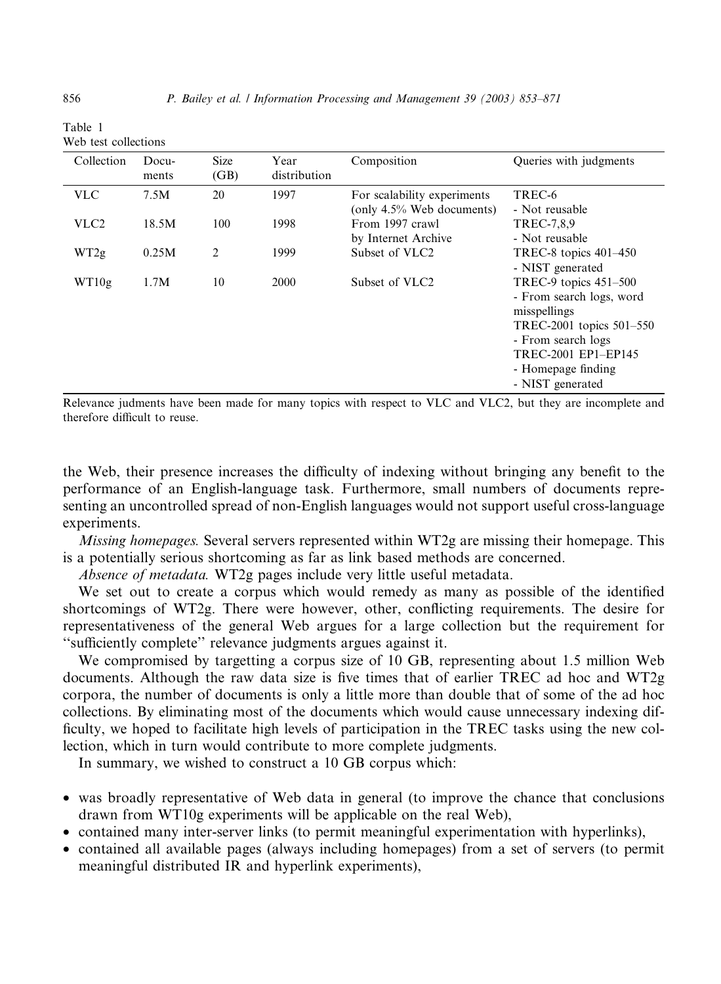| Collection       | Docu-<br>ments | <b>Size</b><br>(GB) | Year<br>distribution | Composition                                                 | Queries with judgments                                                                                                                                                                 |
|------------------|----------------|---------------------|----------------------|-------------------------------------------------------------|----------------------------------------------------------------------------------------------------------------------------------------------------------------------------------------|
| <b>VLC</b>       | 7.5M           | 20                  | 1997                 | For scalability experiments<br>(only $4.5\%$ Web documents) | TREC-6<br>- Not reusable                                                                                                                                                               |
| VLC <sub>2</sub> | 18.5M          | 100                 | 1998                 | From 1997 crawl<br>by Internet Archive                      | TREC-7,8,9<br>- Not reusable                                                                                                                                                           |
| WT2g             | 0.25M          | $\overline{c}$      | 1999                 | Subset of VLC <sub>2</sub>                                  | TREC-8 topics $401-450$<br>- NIST generated                                                                                                                                            |
| WT10g            | 1.7M           | 10                  | 2000                 | Subset of VLC <sub>2</sub>                                  | TREC-9 topics $451-500$<br>- From search logs, word<br>misspellings<br>TREC-2001 topics 501–550<br>- From search logs<br>TREC-2001 EP1-EP145<br>- Homepage finding<br>- NIST generated |

Table 1 Web test collections

Relevance judments have been made for many topics with respect to VLC and VLC2, but they are incomplete and therefore difficult to reuse.

the Web, their presence increases the difficulty of indexing without bringing any benefit to the performance of an English-language task. Furthermore, small numbers of documents representing an uncontrolled spread of non-English languages would not support useful cross-language experiments.

Missing homepages. Several servers represented within WT2g are missing their homepage. This is a potentially serious shortcoming as far as link based methods are concerned.

Absence of metadata. WT2g pages include very little useful metadata.

We set out to create a corpus which would remedy as many as possible of the identified shortcomings of WT2g. There were however, other, conflicting requirements. The desire for representativeness of the general Web argues for a large collection but the requirement for ''sufficiently complete'' relevance judgments argues against it.

We compromised by targetting a corpus size of 10 GB, representing about 1.5 million Web documents. Although the raw data size is five times that of earlier TREC ad hoc and WT2g corpora, the number of documents is only a little more than double that of some of the ad hoc collections. By eliminating most of the documents which would cause unnecessary indexing difficulty, we hoped to facilitate high levels of participation in the TREC tasks using the new collection, which in turn would contribute to more complete judgments.

In summary, we wished to construct a 10 GB corpus which:

- was broadly representative of Web data in general (to improve the chance that conclusions drawn from WT10g experiments will be applicable on the real Web),
- contained many inter-server links (to permit meaningful experimentation with hyperlinks),
- contained all available pages (always including homepages) from a set of servers (to permit meaningful distributed IR and hyperlink experiments),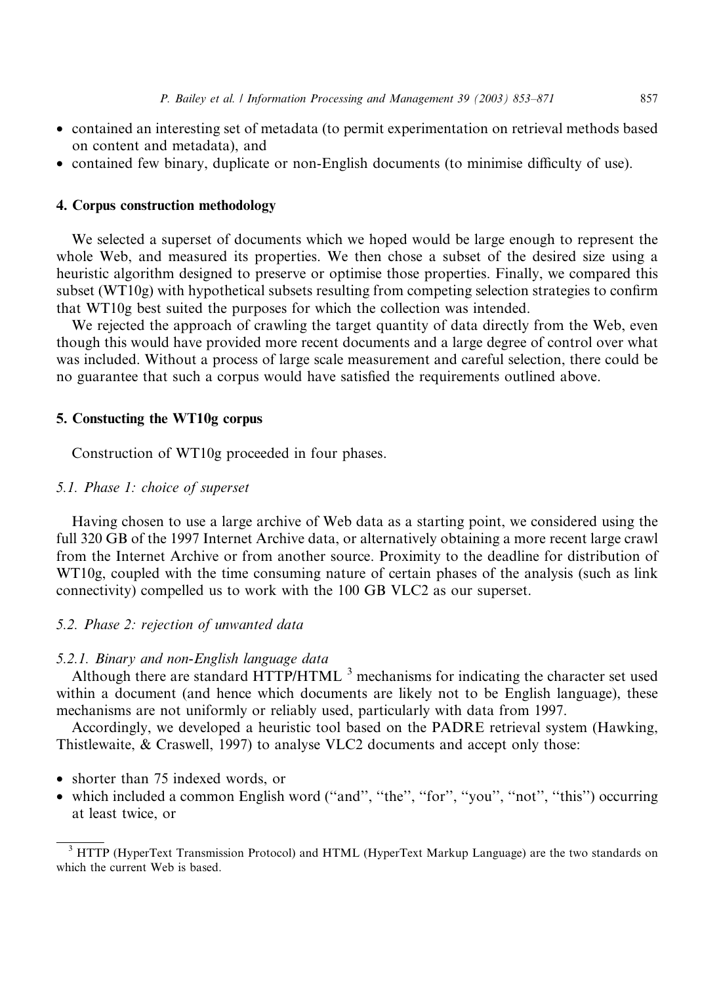- contained an interesting set of metadata (to permit experimentation on retrieval methods based on content and metadata), and
- contained few binary, duplicate or non-English documents (to minimise difficulty of use).

## 4. Corpus construction methodology

We selected a superset of documents which we hoped would be large enough to represent the whole Web, and measured its properties. We then chose a subset of the desired size using a heuristic algorithm designed to preserve or optimise those properties. Finally, we compared this subset (WT10g) with hypothetical subsets resulting from competing selection strategies to confirm that WT10g best suited the purposes for which the collection was intended.

We rejected the approach of crawling the target quantity of data directly from the Web, even though this would have provided more recent documents and a large degree of control over what was included. Without a process of large scale measurement and careful selection, there could be no guarantee that such a corpus would have satisfied the requirements outlined above.

#### 5. Constucting the WT10g corpus

Construction of WT10g proceeded in four phases.

## 5.1. Phase 1: choice of superset

Having chosen to use a large archive of Web data as a starting point, we considered using the full 320 GB of the 1997 Internet Archive data, or alternatively obtaining a more recent large crawl from the Internet Archive or from another source. Proximity to the deadline for distribution of WT10g, coupled with the time consuming nature of certain phases of the analysis (such as link connectivity) compelled us to work with the 100 GB VLC2 as our superset.

## 5.2. Phase 2: rejection of unwanted data

## 5.2.1. Binary and non-English language data

Although there are standard HTTP/HTML  $<sup>3</sup>$  mechanisms for indicating the character set used</sup> within a document (and hence which documents are likely not to be English language), these mechanisms are not uniformly or reliably used, particularly with data from 1997.

Accordingly, we developed a heuristic tool based on the PADRE retrieval system (Hawking, Thistlewaite, & Craswell, 1997) to analyse VLC2 documents and accept only those:

- shorter than 75 indexed words, or
- which included a common English word ("and", "the", "for", "you", "not", "this") occurring at least twice, or

<sup>&</sup>lt;sup>3</sup> HTTP (HyperText Transmission Protocol) and HTML (HyperText Markup Language) are the two standards on which the current Web is based.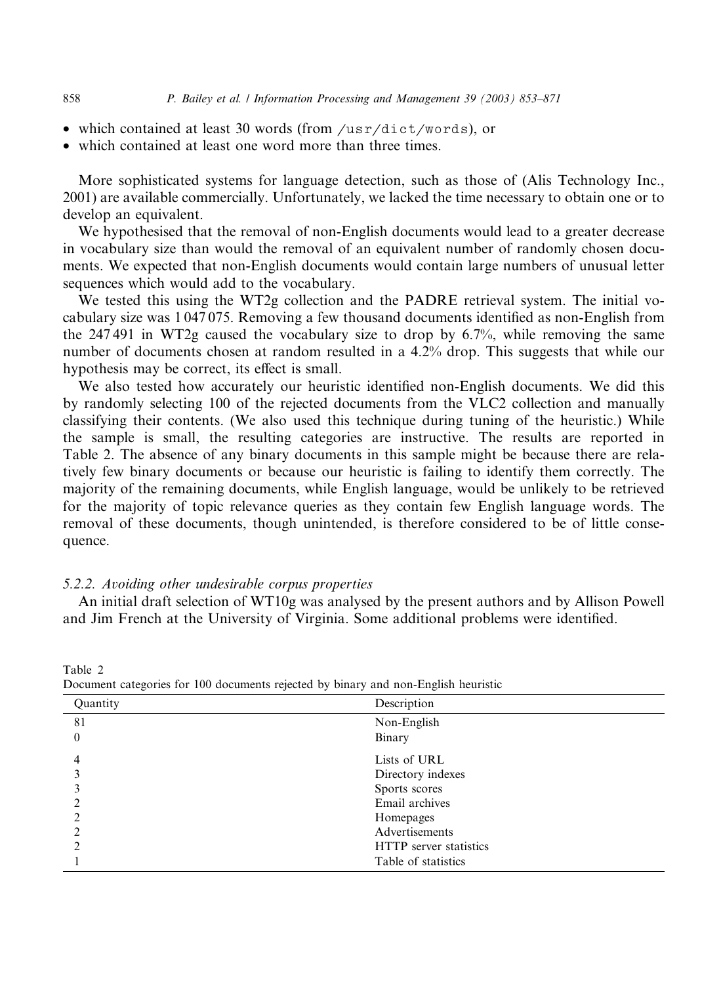- which contained at least 30 words (from /usr/dict/words), or
- which contained at least one word more than three times.

More sophisticated systems for language detection, such as those of (Alis Technology Inc., 2001) are available commercially. Unfortunately, we lacked the time necessary to obtain one or to develop an equivalent.

We hypothesised that the removal of non-English documents would lead to a greater decrease in vocabulary size than would the removal of an equivalent number of randomly chosen documents. We expected that non-English documents would contain large numbers of unusual letter sequences which would add to the vocabulary.

We tested this using the WT2g collection and the PADRE retrieval system. The initial vocabulary size was 1 047 075. Removing a few thousand documents identified as non-English from the 247 491 in WT2g caused the vocabulary size to drop by 6.7%, while removing the same number of documents chosen at random resulted in a 4.2% drop. This suggests that while our hypothesis may be correct, its effect is small.

We also tested how accurately our heuristic identified non-English documents. We did this by randomly selecting 100 of the rejected documents from the VLC2 collection and manually classifying their contents. (We also used this technique during tuning of the heuristic.) While the sample is small, the resulting categories are instructive. The results are reported in Table 2. The absence of any binary documents in this sample might be because there are relatively few binary documents or because our heuristic is failing to identify them correctly. The majority of the remaining documents, while English language, would be unlikely to be retrieved for the majority of topic relevance queries as they contain few English language words. The removal of these documents, though unintended, is therefore considered to be of little consequence.

#### 5.2.2. Avoiding other undesirable corpus properties

An initial draft selection of WT10g was analysed by the present authors and by Allison Powell and Jim French at the University of Virginia. Some additional problems were identified.

| Č<br>Quantity | Description            |  |
|---------------|------------------------|--|
| 81            | Non-English            |  |
| 0             | Binary                 |  |
|               | Lists of URL           |  |
|               | Directory indexes      |  |
|               | Sports scores          |  |
|               | Email archives         |  |
|               | Homepages              |  |
|               | Advertisements         |  |
|               | HTTP server statistics |  |
|               | Table of statistics    |  |

Table 2

Document categories for 100 documents rejected by binary and non-English heuristic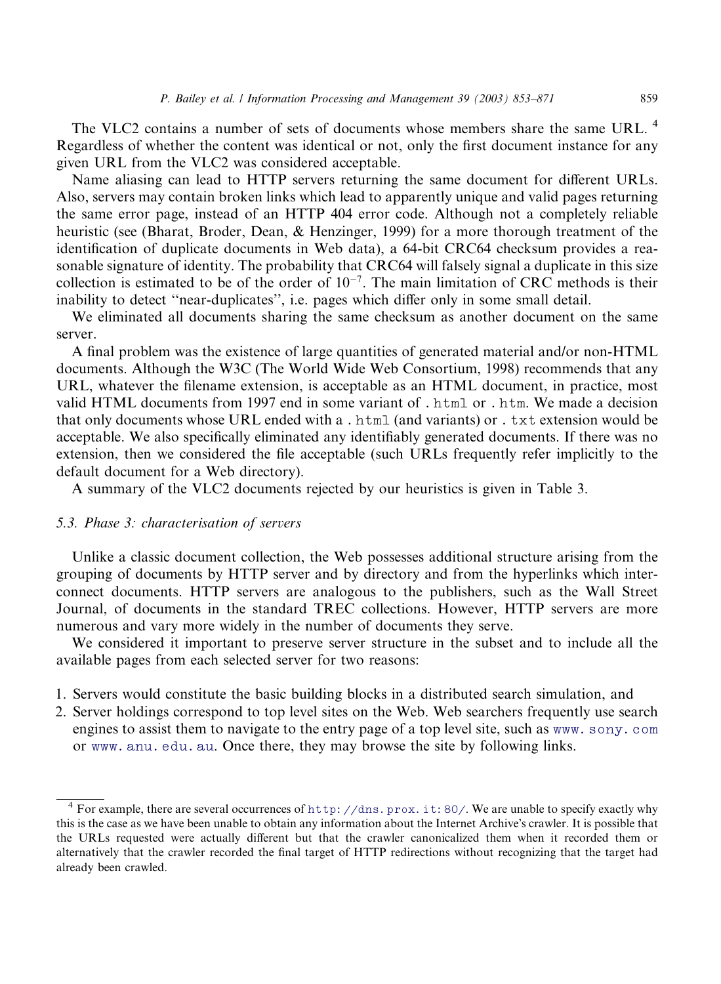The VLC2 contains a number of sets of documents whose members share the same URL.<sup>4</sup> Regardless of whether the content was identical or not, only the first document instance for any given URL from the VLC2 was considered acceptable.

Name aliasing can lead to HTTP servers returning the same document for different URLs. Also, servers may contain broken links which lead to apparently unique and valid pages returning the same error page, instead of an HTTP 404 error code. Although not a completely reliable heuristic (see (Bharat, Broder, Dean, & Henzinger, 1999) for a more thorough treatment of the identification of duplicate documents in Web data), a 64-bit CRC64 checksum provides a reasonable signature of identity. The probability that CRC64 will falsely signal a duplicate in this size collection is estimated to be of the order of  $10^{-7}$ . The main limitation of CRC methods is their inability to detect ''near-duplicates'', i.e. pages which differ only in some small detail.

We eliminated all documents sharing the same checksum as another document on the same server.

A final problem was the existence of large quantities of generated material and/or non-HTML documents. Although the W3C (The World Wide Web Consortium, 1998) recommends that any URL, whatever the filename extension, is acceptable as an HTML document, in practice, most valid HTML documents from 1997 end in some variant of . html or . htm. We made a decision that only documents whose URL ended with a . html (and variants) or . txt extension would be acceptable. We also specifically eliminated any identifiably generated documents. If there was no extension, then we considered the file acceptable (such URLs frequently refer implicitly to the default document for a Web directory).

A summary of the VLC2 documents rejected by our heuristics is given in Table 3.

#### 5.3. Phase 3: characterisation of servers

Unlike a classic document collection, the Web possesses additional structure arising from the grouping of documents by HTTP server and by directory and from the hyperlinks which interconnect documents. HTTP servers are analogous to the publishers, such as the Wall Street Journal, of documents in the standard TREC collections. However, HTTP servers are more numerous and vary more widely in the number of documents they serve.

We considered it important to preserve server structure in the subset and to include all the available pages from each selected server for two reasons:

- 1. Servers would constitute the basic building blocks in a distributed search simulation, and
- 2. Server holdings correspond to top level sites on the Web. Web searchers frequently use search engines to assist them to navigate to the entry page of a top level site, such as [www.sony.com](http://www.sony.com) or [www.anu.edu.au](http://www.anu.edu.au). Once there, they may browse the site by following links.

<sup>&</sup>lt;sup>4</sup> For example, there are several occurrences of <http://dns.prox.it:80/>. We are unable to specify exactly why this is the case as we have been unable to obtain any information about the Internet Archive's crawler. It is possible that the URLs requested were actually different but that the crawler canonicalized them when it recorded them or alternatively that the crawler recorded the final target of HTTP redirections without recognizing that the target had already been crawled.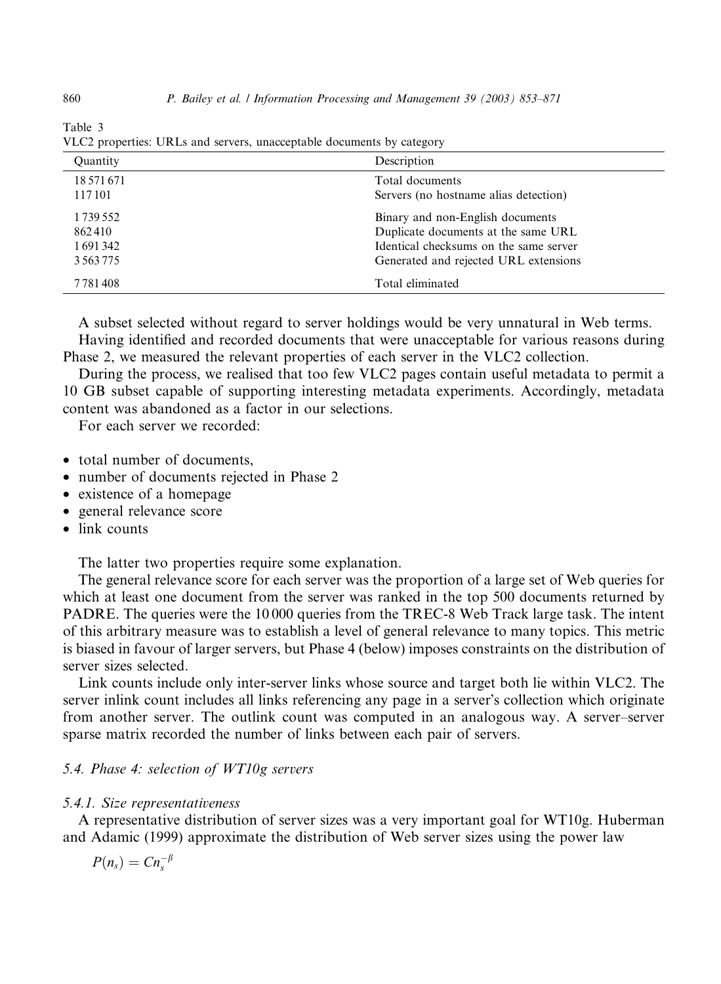| Quantity      | Description                            |
|---------------|----------------------------------------|
| 18 571 671    | Total documents                        |
| 117 101       | Servers (no hostname alias detection)  |
| 1 739 552     | Binary and non-English documents       |
| 862410        | Duplicate documents at the same URL    |
| 1691342       | Identical checksums on the same server |
| 3 5 6 3 7 7 5 | Generated and rejected URL extensions  |
| 7 7 8 1 4 0 8 | Total eliminated                       |

Table 3 VLC2 properties: URLs and servers, unacceptable documents by category

A subset selected without regard to server holdings would be very unnatural in Web terms. Having identified and recorded documents that were unacceptable for various reasons during Phase 2, we measured the relevant properties of each server in the VLC2 collection.

During the process, we realised that too few VLC2 pages contain useful metadata to permit a 10 GB subset capable of supporting interesting metadata experiments. Accordingly, metadata content was abandoned as a factor in our selections.

For each server we recorded:

- total number of documents,
- number of documents rejected in Phase 2
- existence of a homepage
- general relevance score
- link counts

The latter two properties require some explanation.

The general relevance score for each server was the proportion of a large set of Web queries for which at least one document from the server was ranked in the top 500 documents returned by PADRE. The queries were the 10 000 queries from the TREC-8 Web Track large task. The intent of this arbitrary measure was to establish a level of general relevance to many topics. This metric is biased in favour of larger servers, but Phase 4 (below) imposes constraints on the distribution of server sizes selected.

Link counts include only inter-server links whose source and target both lie within VLC2. The server inlink count includes all links referencing any page in a server's collection which originate from another server. The outlink count was computed in an analogous way. A server–server sparse matrix recorded the number of links between each pair of servers.

## 5.4. Phase 4: selection of WT10g servers

#### 5.4.1. Size representativeness

A representative distribution of server sizes was a very important goal for WT10g. Huberman and Adamic (1999) approximate the distribution of Web server sizes using the power law

$$
P(n_s)=Cn_s^{-\beta}
$$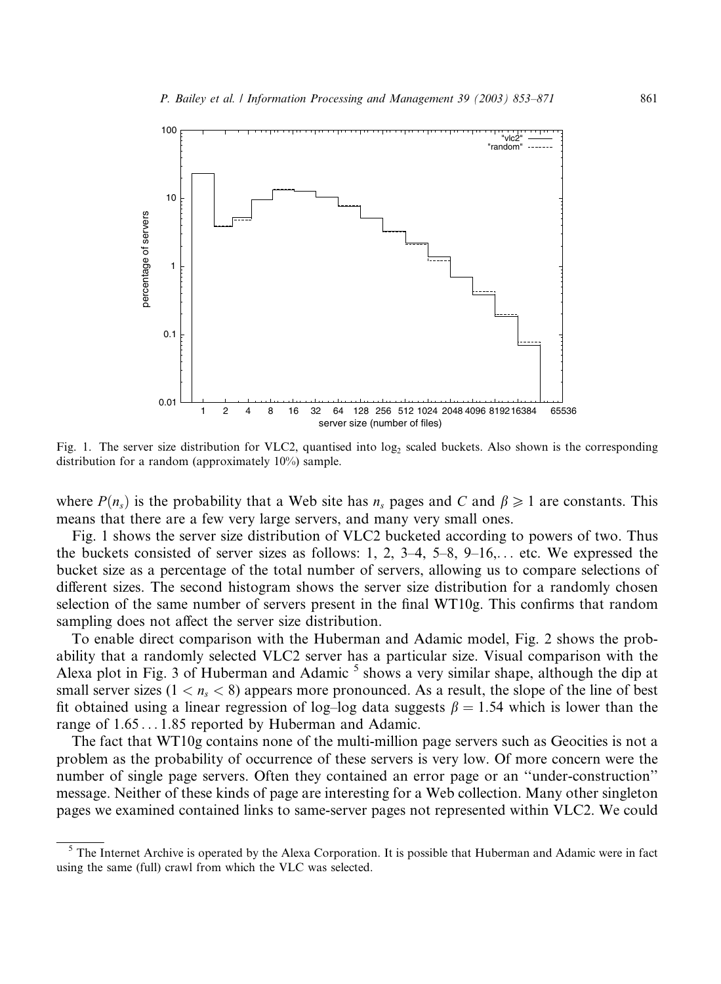

Fig. 1. The server size distribution for VLC2, quantised into log<sub>2</sub> scaled buckets. Also shown is the corresponding distribution for a random (approximately 10%) sample.

where  $P(n_s)$  is the probability that a Web site has  $n_s$  pages and C and  $\beta \geq 1$  are constants. This means that there are a few very large servers, and many very small ones.

Fig. 1 shows the server size distribution of VLC2 bucketed according to powers of two. Thus the buckets consisted of server sizes as follows: 1, 2, 3–4, 5–8, 9–16,... etc. We expressed the bucket size as a percentage of the total number of servers, allowing us to compare selections of different sizes. The second histogram shows the server size distribution for a randomly chosen selection of the same number of servers present in the final WT10g. This confirms that random sampling does not affect the server size distribution.

To enable direct comparison with the Huberman and Adamic model, Fig. 2 shows the probability that a randomly selected VLC2 server has a particular size. Visual comparison with the Alexa plot in Fig. 3 of Huberman and Adamic  $^5$  shows a very similar shape, although the dip at small server sizes  $(1 \lt n<sub>s</sub> \lt 8)$  appears more pronounced. As a result, the slope of the line of best fit obtained using a linear regression of log–log data suggests  $\beta = 1.54$  which is lower than the range of  $1.65...1.85$  reported by Huberman and Adamic.

The fact that WT10g contains none of the multi-million page servers such as Geocities is not a problem as the probability of occurrence of these servers is very low. Of more concern were the number of single page servers. Often they contained an error page or an ''under-construction'' message. Neither of these kinds of page are interesting for a Web collection. Many other singleton pages we examined contained links to same-server pages not represented within VLC2. We could

<sup>&</sup>lt;sup>5</sup> The Internet Archive is operated by the Alexa Corporation. It is possible that Huberman and Adamic were in fact using the same (full) crawl from which the VLC was selected.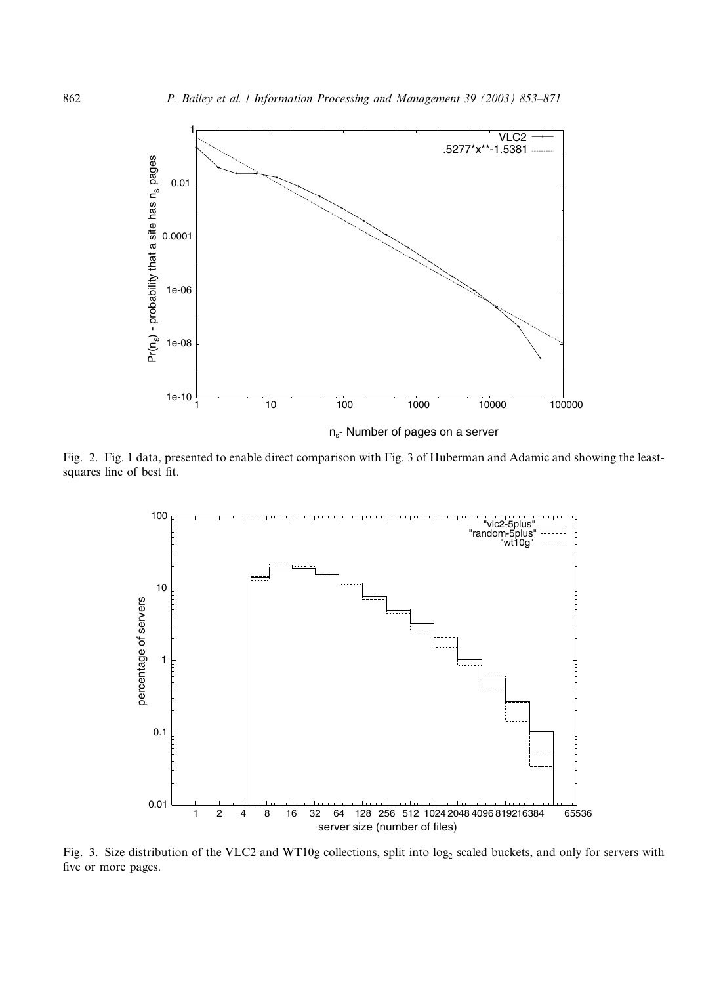

n<sub>s</sub>- Number of pages on a server

Fig. 2. Fig. 1 data, presented to enable direct comparison with Fig. 3 of Huberman and Adamic and showing the leastsquares line of best fit.



Fig. 3. Size distribution of the VLC2 and WT10g collections, split into log<sub>2</sub> scaled buckets, and only for servers with five or more pages.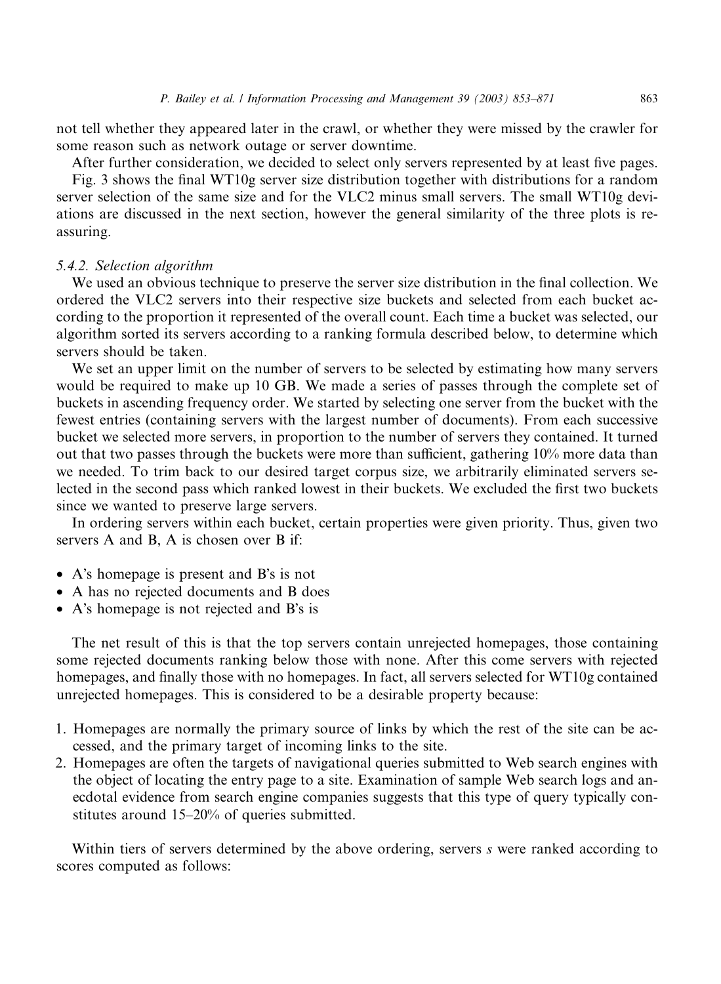not tell whether they appeared later in the crawl, or whether they were missed by the crawler for some reason such as network outage or server downtime.

After further consideration, we decided to select only servers represented by at least five pages. Fig. 3 shows the final WT10g server size distribution together with distributions for a random server selection of the same size and for the VLC2 minus small servers. The small WT10g deviations are discussed in the next section, however the general similarity of the three plots is reassuring.

#### 5.4.2. Selection algorithm

We used an obvious technique to preserve the server size distribution in the final collection. We ordered the VLC2 servers into their respective size buckets and selected from each bucket according to the proportion it represented of the overall count. Each time a bucket was selected, our algorithm sorted its servers according to a ranking formula described below, to determine which servers should be taken.

We set an upper limit on the number of servers to be selected by estimating how many servers would be required to make up 10 GB. We made a series of passes through the complete set of buckets in ascending frequency order. We started by selecting one server from the bucket with the fewest entries (containing servers with the largest number of documents). From each successive bucket we selected more servers, in proportion to the number of servers they contained. It turned out that two passes through the buckets were more than sufficient, gathering 10% more data than we needed. To trim back to our desired target corpus size, we arbitrarily eliminated servers selected in the second pass which ranked lowest in their buckets. We excluded the first two buckets since we wanted to preserve large servers.

In ordering servers within each bucket, certain properties were given priority. Thus, given two servers A and B, A is chosen over B if:

- A's homepage is present and B's is not
- A has no rejected documents and B does
- A's homepage is not rejected and B's is

The net result of this is that the top servers contain unrejected homepages, those containing some rejected documents ranking below those with none. After this come servers with rejected homepages, and finally those with no homepages. In fact, all servers selected for WT10g contained unrejected homepages. This is considered to be a desirable property because:

- 1. Homepages are normally the primary source of links by which the rest of the site can be accessed, and the primary target of incoming links to the site.
- 2. Homepages are often the targets of navigational queries submitted to Web search engines with the object of locating the entry page to a site. Examination of sample Web search logs and anecdotal evidence from search engine companies suggests that this type of query typically constitutes around 15–20% of queries submitted.

Within tiers of servers determined by the above ordering, servers s were ranked according to scores computed as follows: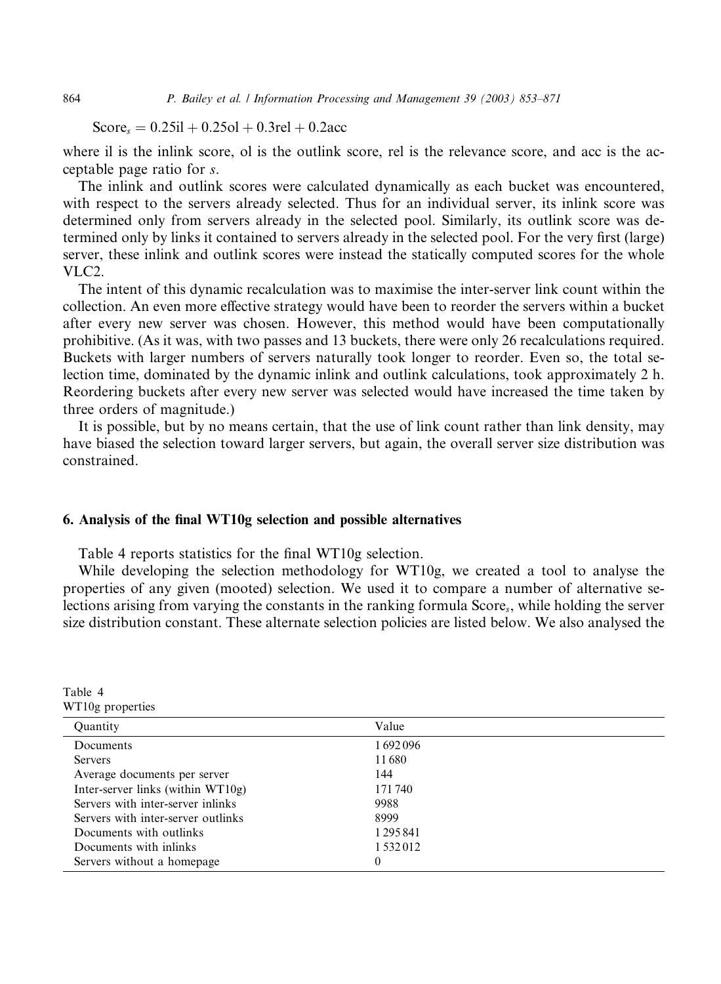$Score_s = 0.25i1 + 0.25ol + 0.3rel + 0.2acc$ 

where il is the inlink score, ol is the outlink score, rel is the relevance score, and acc is the acceptable page ratio for s.

The inlink and outlink scores were calculated dynamically as each bucket was encountered, with respect to the servers already selected. Thus for an individual server, its inlink score was determined only from servers already in the selected pool. Similarly, its outlink score was determined only by links it contained to servers already in the selected pool. For the very first (large) server, these inlink and outlink scores were instead the statically computed scores for the whole VLC2.

The intent of this dynamic recalculation was to maximise the inter-server link count within the collection. An even more effective strategy would have been to reorder the servers within a bucket after every new server was chosen. However, this method would have been computationally prohibitive. (As it was, with two passes and 13 buckets, there were only 26 recalculations required. Buckets with larger numbers of servers naturally took longer to reorder. Even so, the total selection time, dominated by the dynamic inlink and outlink calculations, took approximately 2 h. Reordering buckets after every new server was selected would have increased the time taken by three orders of magnitude.)

It is possible, but by no means certain, that the use of link count rather than link density, may have biased the selection toward larger servers, but again, the overall server size distribution was constrained.

# 6. Analysis of the final WT10g selection and possible alternatives

Table 4 reports statistics for the final WT10g selection.

While developing the selection methodology for WT10g, we created a tool to analyse the properties of any given (mooted) selection. We used it to compare a number of alternative selections arising from varying the constants in the ranking formula Scores, while holding the server size distribution constant. These alternate selection policies are listed below. We also analysed the

| W L TOR DIODUCTURES                |               |  |  |
|------------------------------------|---------------|--|--|
| <b>Quantity</b>                    | Value         |  |  |
| Documents                          | 1692096       |  |  |
| <b>Servers</b>                     | 11680         |  |  |
| Average documents per server       | 144           |  |  |
| Inter-server links (within WT10g)  | 171740        |  |  |
| Servers with inter-server inlinks  | 9988          |  |  |
| Servers with inter-server outlinks | 8999          |  |  |
| Documents with outlinks            | 1 295 841     |  |  |
| Documents with inlinks             | 1 5 3 2 0 1 2 |  |  |
| Servers without a homepage         | 0             |  |  |

Table 4 WT10g properties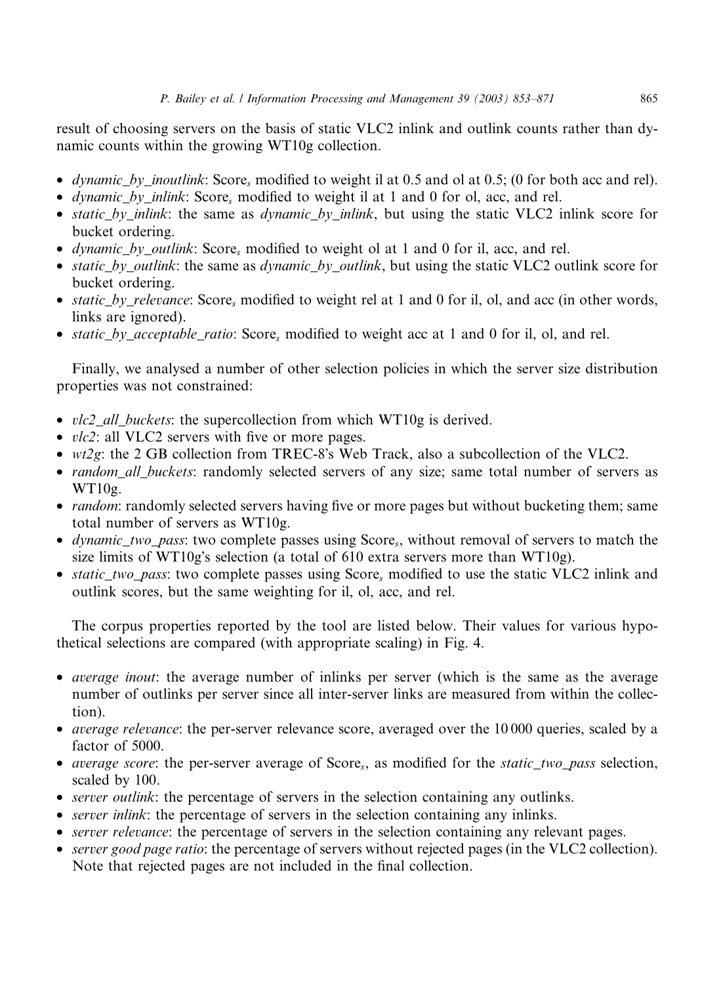result of choosing servers on the basis of static VLC2 inlink and outlink counts rather than dynamic counts within the growing WT10g collection.

- *dynamic* by *inoutlink*: Score, modified to weight il at 0.5 and ol at 0.5; (0 for both acc and rel).
- *dynamic by inlink*: Score, modified to weight il at 1 and 0 for ol, acc, and rel.
- static\_by\_inlink: the same as dynamic\_by\_inlink, but using the static VLC2 inlink score for bucket ordering.
- *dynamic by outlink*: Score, modified to weight ol at 1 and 0 for il, acc, and rel.
- static\_by\_outlink: the same as dynamic\_by\_outlink, but using the static VLC2 outlink score for bucket ordering.
- static by relevance: Score, modified to weight rel at 1 and 0 for il, ol, and acc (in other words, links are ignored).
- *static by acceptable ratio:* Score, modified to weight acc at 1 and 0 for il, ol, and rel.

Finally, we analysed a number of other selection policies in which the server size distribution properties was not constrained:

- vlc2\_all\_buckets: the supercollection from which WT10g is derived.
- *vlc2*: all VLC2 servers with five or more pages.
- *wt2g*: the 2 GB collection from TREC-8's Web Track, also a subcollection of the VLC2.
- *random\_all\_buckets*: randomly selected servers of any size; same total number of servers as  $WT10g$ .
- *random*: randomly selected servers having five or more pages but without bucketing them; same total number of servers as WT10g.
- *dynamic two pass:* two complete passes using Score<sub>s</sub>, without removal of servers to match the size limits of WT10g's selection (a total of 610 extra servers more than WT10g).
- static\_two\_pass: two complete passes using Score, modified to use the static VLC2 inlink and outlink scores, but the same weighting for il, ol, acc, and rel.

The corpus properties reported by the tool are listed below. Their values for various hypothetical selections are compared (with appropriate scaling) in Fig. 4.

- *average inout*: the average number of inlinks per server (which is the same as the average number of outlinks per server since all inter-server links are measured from within the collection).
- *average relevance*: the per-server relevance score, averaged over the 10000 queries, scaled by a factor of 5000.
- average score: the per-server average of  $Score_s$ , as modified for the *static* two pass selection, scaled by 100.
- server outlink: the percentage of servers in the selection containing any outlinks.
- *server inlink*: the percentage of servers in the selection containing any inlinks.
- server relevance: the percentage of servers in the selection containing any relevant pages.
- server good page ratio: the percentage of servers without rejected pages (in the VLC2 collection). Note that rejected pages are not included in the final collection.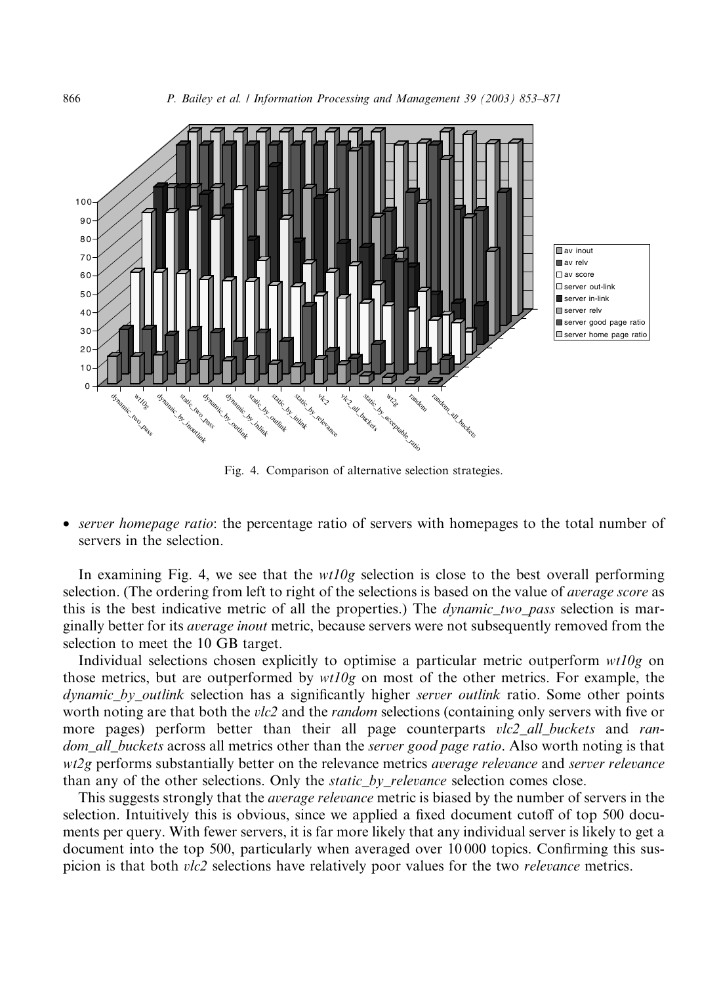

Fig. 4. Comparison of alternative selection strategies.

• server homepage ratio: the percentage ratio of servers with homepages to the total number of servers in the selection.

In examining Fig. 4, we see that the  $wt10g$  selection is close to the best overall performing selection. (The ordering from left to right of the selections is based on the value of average score as this is the best indicative metric of all the properties.) The *dynamic\_two\_pass* selection is marginally better for its *average inout* metric, because servers were not subsequently removed from the selection to meet the 10 GB target.

Individual selections chosen explicitly to optimise a particular metric outperform  $wt10g$  on those metrics, but are outperformed by  $wt10g$  on most of the other metrics. For example, the dynamic\_by\_outlink selection has a significantly higher server outlink ratio. Some other points worth noting are that both the *vlc2* and the *random* selections (containing only servers with five or more pages) perform better than their all page counterparts vlc2 all buckets and random\_all\_buckets across all metrics other than the server good page ratio. Also worth noting is that wt2g performs substantially better on the relevance metrics *average relevance* and *server relevance* than any of the other selections. Only the *static* by relevance selection comes close.

This suggests strongly that the *average relevance* metric is biased by the number of servers in the selection. Intuitively this is obvious, since we applied a fixed document cutoff of top 500 documents per query. With fewer servers, it is far more likely that any individual server is likely to get a document into the top 500, particularly when averaged over 10 000 topics. Confirming this suspicion is that both *vlc2* selections have relatively poor values for the two *relevance* metrics.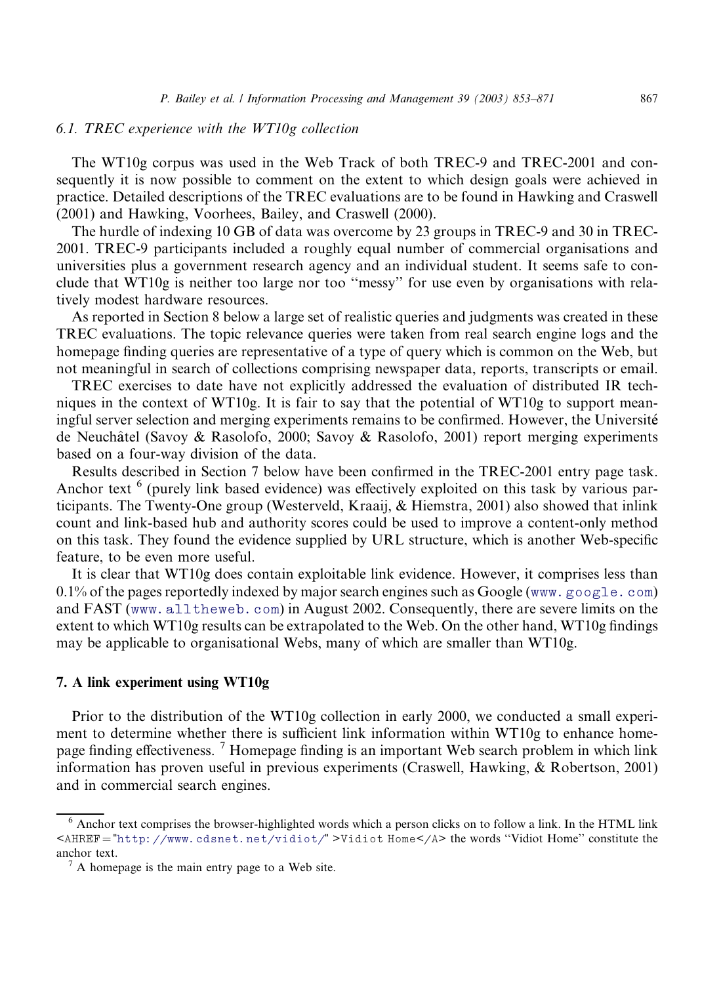# 6.1. TREC experience with the WT10g collection

The WT10g corpus was used in the Web Track of both TREC-9 and TREC-2001 and consequently it is now possible to comment on the extent to which design goals were achieved in practice. Detailed descriptions of the TREC evaluations are to be found in Hawking and Craswell (2001) and Hawking, Voorhees, Bailey, and Craswell (2000).

The hurdle of indexing 10 GB of data was overcome by 23 groups in TREC-9 and 30 in TREC-2001. TREC-9 participants included a roughly equal number of commercial organisations and universities plus a government research agency and an individual student. It seems safe to conclude that WT10g is neither too large nor too ''messy'' for use even by organisations with relatively modest hardware resources.

As reported in Section 8 below a large set of realistic queries and judgments was created in these TREC evaluations. The topic relevance queries were taken from real search engine logs and the homepage finding queries are representative of a type of query which is common on the Web, but not meaningful in search of collections comprising newspaper data, reports, transcripts or email.

TREC exercises to date have not explicitly addressed the evaluation of distributed IR techniques in the context of WT10g. It is fair to say that the potential of WT10g to support meaningful server selection and merging experiments remains to be confirmed. However, the Université de Neuchâtel (Savoy & Rasolofo, 2000; Savoy & Rasolofo, 2001) report merging experiments based on a four-way division of the data.

Results described in Section 7 below have been confirmed in the TREC-2001 entry page task. Anchor text <sup>6</sup> (purely link based evidence) was effectively exploited on this task by various participants. The Twenty-One group (Westerveld, Kraaij, & Hiemstra, 2001) also showed that inlink count and link-based hub and authority scores could be used to improve a content-only method on this task. They found the evidence supplied by URL structure, which is another Web-specific feature, to be even more useful.

It is clear that WT10g does contain exploitable link evidence. However, it comprises less than 0.1% of the pages reportedly indexed by major search engines such as Google ([www.google.com](http://www.google.com)) and FAST (www. alltheweb.com) in August 2002. Consequently, there are severe limits on the extent to which WT10g results can be extrapolated to the Web. On the other hand, WT10g findings may be applicable to organisational Webs, many of which are smaller than WT10g.

#### 7. A link experiment using WT10g

Prior to the distribution of the WT10g collection in early 2000, we conducted a small experiment to determine whether there is sufficient link information within WT10g to enhance homepage finding effectiveness.<sup>7</sup> Homepage finding is an important Web search problem in which link information has proven useful in previous experiments (Craswell, Hawking, & Robertson, 2001) and in commercial search engines.

<sup>6</sup> Anchor text comprises the browser-highlighted words which a person clicks on to follow a link. In the HTML link <AHREF = "<http://www.cdsnet.net/vidiot/>" >Vidiot Home</A> the words "Vidiot Home" constitute the anchor text.<br> $\frac{7}{4}$  A homepage is the main entry page to a Web site.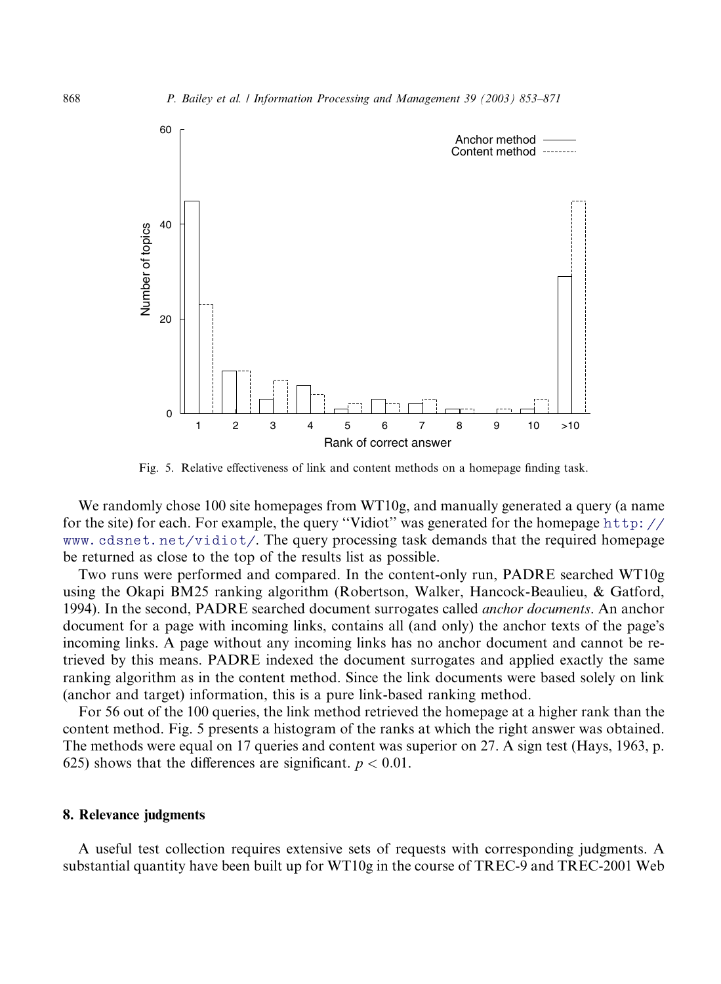

Fig. 5. Relative effectiveness of link and content methods on a homepage finding task.

We randomly chose 100 site homepages from WT10g, and manually generated a query (a name for the site) for each. For example, the query ''Vidiot'' was generated for the homepage [http://](http://www.cdsnet.net/vidiot/) [www.cdsnet.net/vidiot/](http://www.cdsnet.net/vidiot/). The query processing task demands that the required homepage be returned as close to the top of the results list as possible.

Two runs were performed and compared. In the content-only run, PADRE searched WT10g using the Okapi BM25 ranking algorithm (Robertson, Walker, Hancock-Beaulieu, & Gatford, 1994). In the second, PADRE searched document surrogates called anchor documents. An anchor document for a page with incoming links, contains all (and only) the anchor texts of the page's incoming links. A page without any incoming links has no anchor document and cannot be retrieved by this means. PADRE indexed the document surrogates and applied exactly the same ranking algorithm as in the content method. Since the link documents were based solely on link (anchor and target) information, this is a pure link-based ranking method.

For 56 out of the 100 queries, the link method retrieved the homepage at a higher rank than the content method. Fig. 5 presents a histogram of the ranks at which the right answer was obtained. The methods were equal on 17 queries and content was superior on 27. A sign test (Hays, 1963, p. 625) shows that the differences are significant.  $p < 0.01$ .

#### 8. Relevance judgments

A useful test collection requires extensive sets of requests with corresponding judgments. A substantial quantity have been built up for WT10g in the course of TREC-9 and TREC-2001 Web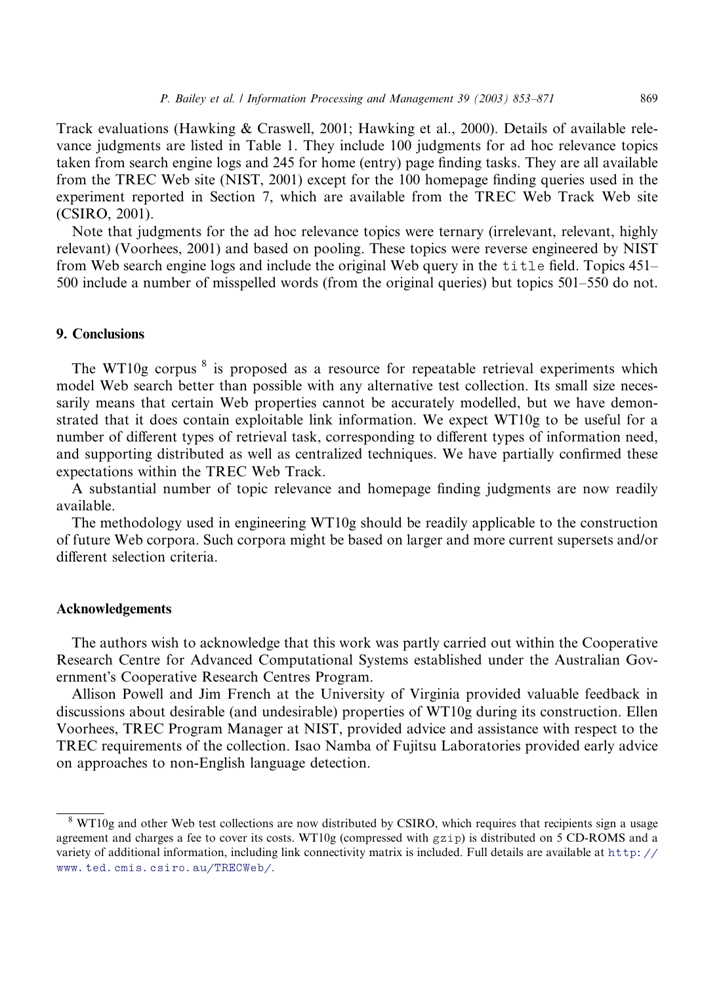Track evaluations (Hawking & Craswell, 2001; Hawking et al., 2000). Details of available relevance judgments are listed in Table 1. They include 100 judgments for ad hoc relevance topics taken from search engine logs and 245 for home (entry) page finding tasks. They are all available from the TREC Web site (NIST, 2001) except for the 100 homepage finding queries used in the experiment reported in Section 7, which are available from the TREC Web Track Web site (CSIRO, 2001).

Note that judgments for the ad hoc relevance topics were ternary (irrelevant, relevant, highly relevant) (Voorhees, 2001) and based on pooling. These topics were reverse engineered by NIST from Web search engine logs and include the original Web query in the title field. Topics 451– 500 include a number of misspelled words (from the original queries) but topics 501–550 do not.

## 9. Conclusions

The WT10g corpus  $\delta$  is proposed as a resource for repeatable retrieval experiments which model Web search better than possible with any alternative test collection. Its small size necessarily means that certain Web properties cannot be accurately modelled, but we have demonstrated that it does contain exploitable link information. We expect WT10g to be useful for a number of different types of retrieval task, corresponding to different types of information need, and supporting distributed as well as centralized techniques. We have partially confirmed these expectations within the TREC Web Track.

A substantial number of topic relevance and homepage finding judgments are now readily available.

The methodology used in engineering WT10g should be readily applicable to the construction of future Web corpora. Such corpora might be based on larger and more current supersets and/or different selection criteria.

## Acknowledgements

The authors wish to acknowledge that this work was partly carried out within the Cooperative Research Centre for Advanced Computational Systems established under the Australian Government's Cooperative Research Centres Program.

Allison Powell and Jim French at the University of Virginia provided valuable feedback in discussions about desirable (and undesirable) properties of WT10g during its construction. Ellen Voorhees, TREC Program Manager at NIST, provided advice and assistance with respect to the TREC requirements of the collection. Isao Namba of Fujitsu Laboratories provided early advice on approaches to non-English language detection.

<sup>&</sup>lt;sup>8</sup> WT10g and other Web test collections are now distributed by CSIRO, which requires that recipients sign a usage agreement and charges a fee to cover its costs. WT10g (compressed with gzip) is distributed on 5 CD-ROMS and a variety of additional information, including link connectivity matrix is included. Full details are available at [http://](http://www.ted.cmis.csiro.au/TRECWeb/) [www.ted.cmis.csiro.au/TRECWeb/](http://www.ted.cmis.csiro.au/TRECWeb/).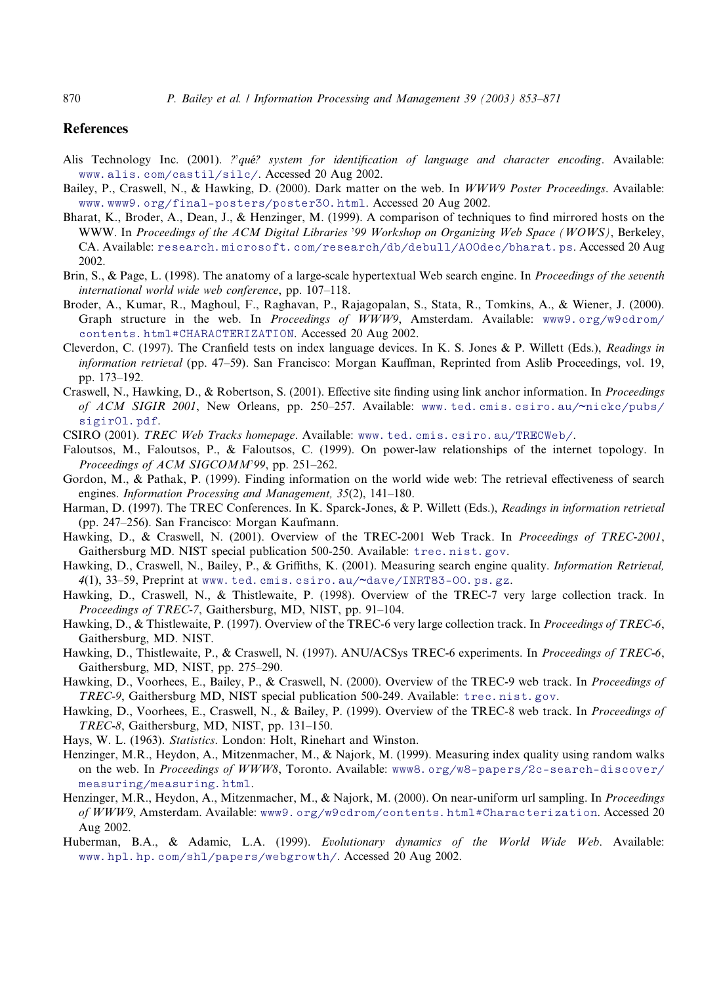## **References**

- Alis Technology Inc. (2001). *?'qué?* system for identification of language and character encoding. Available: [www.alis.com/castil/silc/](http://www.alis.com/castil/silc/). Accessed 20 Aug 2002.
- Bailey, P., Craswell, N., & Hawking, D. (2000). Dark matter on the web. In WWW9 Poster Proceedings. Available: [www.www9.org/final-posters/poster30.html](http://www.www9.org/final-posters/poster30.html). Accessed 20 Aug 2002.
- Bharat, K., Broder, A., Dean, J., & Henzinger, M. (1999). A comparison of techniques to find mirrored hosts on the WWW. In Proceedings of the ACM Digital Libraries '99 Workshop on Organizing Web Space (WOWS), Berkeley, CA. Available: [research.microsoft.com/research/db/debull/A00dec/bharat.ps](http://research.microsoft.com/research/db/debull/A00dec/bharat.ps). Accessed 20 Aug 2002.
- Brin, S., & Page, L. (1998). The anatomy of a large-scale hypertextual Web search engine. In Proceedings of the seventh international world wide web conference, pp. 107–118.
- Broder, A., Kumar, R., Maghoul, F., Raghavan, P., Rajagopalan, S., Stata, R., Tomkins, A., & Wiener, J. (2000). Graph structure in the web. In Proceedings of WWW9, Amsterdam. Available: [www9.org/w9cdrom/](http://www9.org/w9cdrom/contents.html#CHARACTERIZATION) [contents.html#CHARACTERIZATION](http://www9.org/w9cdrom/contents.html#CHARACTERIZATION). Accessed 20 Aug 2002.
- Cleverdon, C. (1997). The Cranfield tests on index language devices. In K. S. Jones & P. Willett (Eds.), Readings in information retrieval (pp. 47–59). San Francisco: Morgan Kauffman, Reprinted from Aslib Proceedings, vol. 19, pp. 173–192.
- Craswell, N., Hawking, D., & Robertson, S. (2001). Effective site finding using link anchor information. In Proceedings of ACM SIGIR 2001, New Orleans, pp. 250–257. Available: [www.ted.cmis.csiro.au/](http://www.ted.cmis.csiro.au/~nickc/pubs/sigir01.pdf)~nickc/pubs/ [sigir01.pdf](http://www.ted.cmis.csiro.au/~nickc/pubs/sigir01.pdf).
- CSIRO (2001). TREC Web Tracks homepage. Available: [www.ted.cmis.csiro.au/TRECWeb/](http://www.ted.cmis.csiro.au/TRECWeb/).
- Faloutsos, M., Faloutsos, P., & Faloutsos, C. (1999). On power-law relationships of the internet topology. In Proceedings of ACM SIGCOMM'99, pp. 251-262.
- Gordon, M., & Pathak, P. (1999). Finding information on the world wide web: The retrieval effectiveness of search engines. Information Processing and Management, 35(2), 141–180.
- Harman, D. (1997). The TREC Conferences. In K. Sparck-Jones, & P. Willett (Eds.), Readings in information retrieval (pp. 247–256). San Francisco: Morgan Kaufmann.
- Hawking, D., & Craswell, N. (2001). Overview of the TREC-2001 Web Track. In Proceedings of TREC-2001, Gaithersburg MD. NIST special publication 500-250. Available: tree.nist.gov.
- Hawking, D., Craswell, N., Bailey, P., & Griffiths, K. (2001). Measuring search engine quality. Information Retrieval,  $4(1)$ , 33-59, Preprint at [www.ted.cmis.csiro.au/](http://www.ted.cmis.csiro.au/~dave/INRT83-00.ps.gz)~dave/INRT83-00.ps.gz.
- Hawking, D., Craswell, N., & Thistlewaite, P. (1998). Overview of the TREC-7 very large collection track. In Proceedings of TREC-7, Gaithersburg, MD, NIST, pp. 91–104.
- Hawking, D., & Thistlewaite, P. (1997). Overview of the TREC-6 very large collection track. In *Proceedings of TREC-6*, Gaithersburg, MD. NIST.
- Hawking, D., Thistlewaite, P., & Craswell, N. (1997). ANU/ACSys TREC-6 experiments. In Proceedings of TREC-6, Gaithersburg, MD, NIST, pp. 275–290.
- Hawking, D., Voorhees, E., Bailey, P., & Craswell, N. (2000). Overview of the TREC-9 web track. In *Proceedings of* TREC-9, Gaithersburg MD, NIST special publication 500-249. Available: [trec.nist.gov](http://trec.nist.gov).
- Hawking, D., Voorhees, E., Craswell, N., & Bailey, P. (1999). Overview of the TREC-8 web track. In *Proceedings of* TREC-8, Gaithersburg, MD, NIST, pp. 131–150.
- Hays, W. L. (1963). Statistics. London: Holt, Rinehart and Winston.
- Henzinger, M.R., Heydon, A., Mitzenmacher, M., & Najork, M. (1999). Measuring index quality using random walks on the web. In Proceedings of WWW8, Toronto. Available: [www8.org/w8-papers/2c-search-discover/](http://www8.org/w8-papers/2c-search-discover/measuring/measuring.html) [measuring/measuring.html](http://www8.org/w8-papers/2c-search-discover/measuring/measuring.html).
- Henzinger, M.R., Heydon, A., Mitzenmacher, M., & Najork, M. (2000). On near-uniform url sampling. In Proceedings of WWW9, Amsterdam. Available: [www9.org/w9cdrom/contents.html#Characterization](http://www9.org/w9cdrom/contents.html#Charaterization). Accessed 20 Aug 2002.
- Huberman, B.A., & Adamic, L.A. (1999). Evolutionary dynamics of the World Wide Web. Available: [www.hpl.hp.com/shl/papers/webgrowth/](http://www.hpl.hp.com/shl/papers/webgrowth/). Accessed 20 Aug 2002.